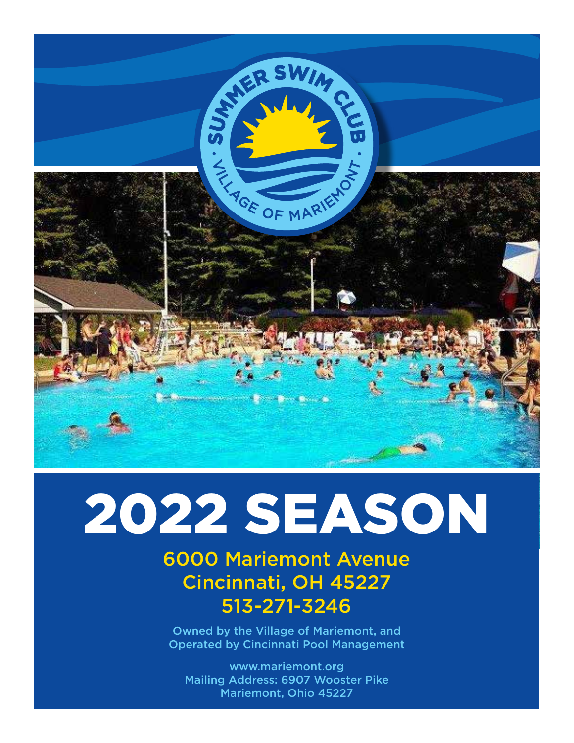

# 2022 SEASON

## 6000 Mariemont Avenue Cincinnati, OH 45227 513-271-3246

Owned by the Village of Mariemont, and Operated by Cincinnati Pool Management

www.mariemont.org Mailing Address: 6907 Wooster Pike Mariemont, Ohio 45227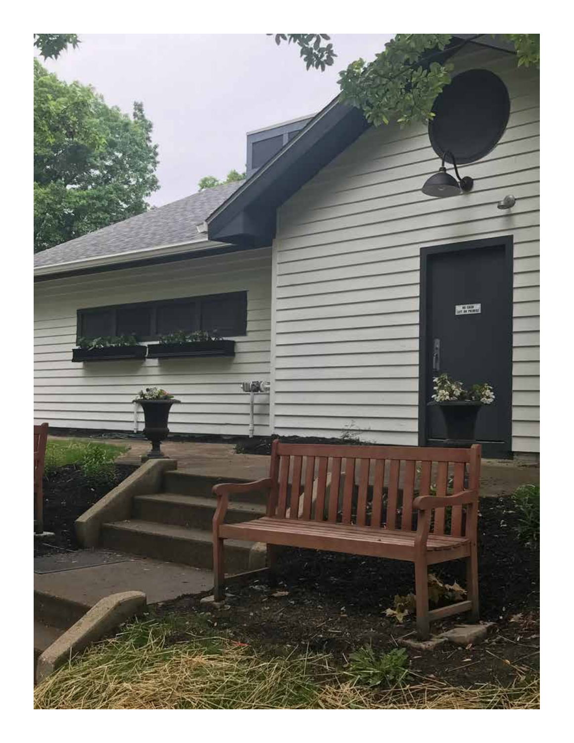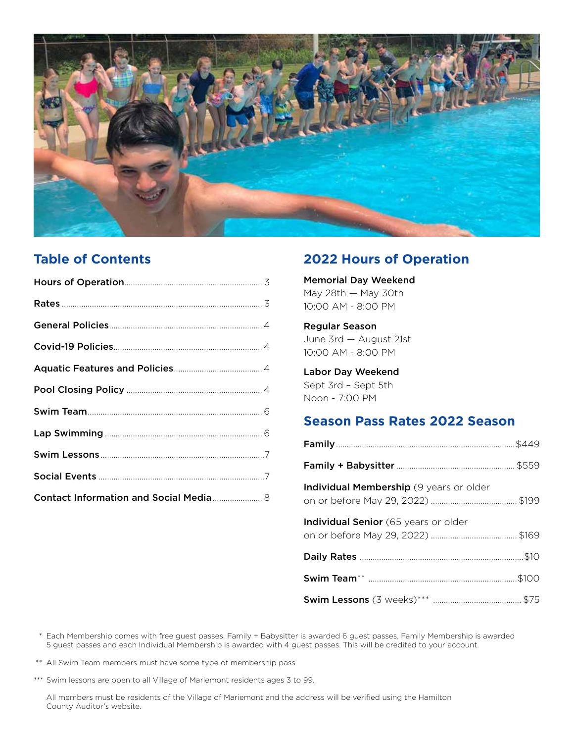

#### **Table of Contents**

#### **2022 Hours of Operation**

Memorial Day Weekend May 28th — May 30th 10:00 AM - 8:00 PM

Regular Season June 3rd — August 21st 10:00 AM - 8:00 PM

Labor Day Weekend Sept 3rd – Sept 5th Noon - 7:00 PM

#### **Season Pass Rates 2022 Season**

| Individual Membership (9 years or older     |
|---------------------------------------------|
| <b>Individual Senior</b> (65 years or older |
|                                             |
|                                             |
|                                             |

\* Each Membership comes with free guest passes. Family + Babysitter is awarded 6 guest passes, Family Membership is awarded 5 guest passes and each Individual Membership is awarded with 4 guest passes. This will be credited to your account.

\*\* All Swim Team members must have some type of membership pass

\*\*\* Swim lessons are open to all Village of Mariemont residents ages 3 to 99.

 All members must be residents of the Village of Mariemont and the address will be verified using the Hamilton County Auditor's website.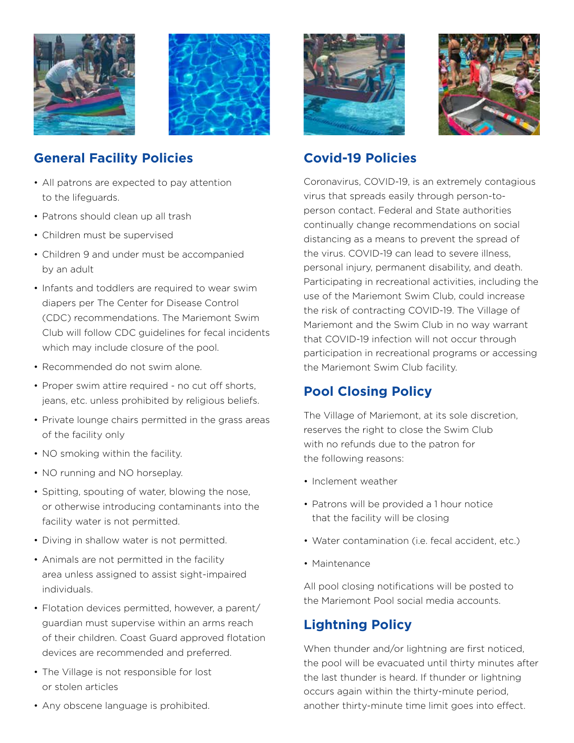



#### **General Facility Policies**

- All patrons are expected to pay attention to the lifeguards.
- Patrons should clean up all trash
- Children must be supervised
- Children 9 and under must be accompanied by an adult
- Infants and toddlers are required to wear swim diapers per The Center for Disease Control (CDC) recommendations. The Mariemont Swim Club will follow CDC guidelines for fecal incidents which may include closure of the pool.
- Recommended do not swim alone.
- Proper swim attire required no cut off shorts, jeans, etc. unless prohibited by religious beliefs.
- Private lounge chairs permitted in the grass areas of the facility only
- NO smoking within the facility.
- NO running and NO horseplay.
- Spitting, spouting of water, blowing the nose, or otherwise introducing contaminants into the facility water is not permitted.
- Diving in shallow water is not permitted.
- Animals are not permitted in the facility area unless assigned to assist sight-impaired individuals.
- Flotation devices permitted, however, a parent/ guardian must supervise within an arms reach of their children. Coast Guard approved flotation devices are recommended and preferred.
- The Village is not responsible for lost or stolen articles
- Any obscene language is prohibited.





#### **Covid-19 Policies**

Coronavirus, COVID-19, is an extremely contagious virus that spreads easily through person-toperson contact. Federal and State authorities continually change recommendations on social distancing as a means to prevent the spread of the virus. COVID-19 can lead to severe illness, personal injury, permanent disability, and death. Participating in recreational activities, including the use of the Mariemont Swim Club, could increase the risk of contracting COVID-19. The Village of Mariemont and the Swim Club in no way warrant that COVID-19 infection will not occur through participation in recreational programs or accessing the Mariemont Swim Club facility.

#### **Pool Closing Policy**

The Village of Mariemont, at its sole discretion, reserves the right to close the Swim Club with no refunds due to the patron for the following reasons:

- Inclement weather
- Patrons will be provided a 1 hour notice that the facility will be closing
- Water contamination (i.e. fecal accident, etc.)
- Maintenance

All pool closing notifications will be posted to the Mariemont Pool social media accounts.

### **Lightning Policy**

When thunder and/or lightning are first noticed, the pool will be evacuated until thirty minutes after the last thunder is heard. If thunder or lightning occurs again within the thirty-minute period, another thirty-minute time limit goes into effect.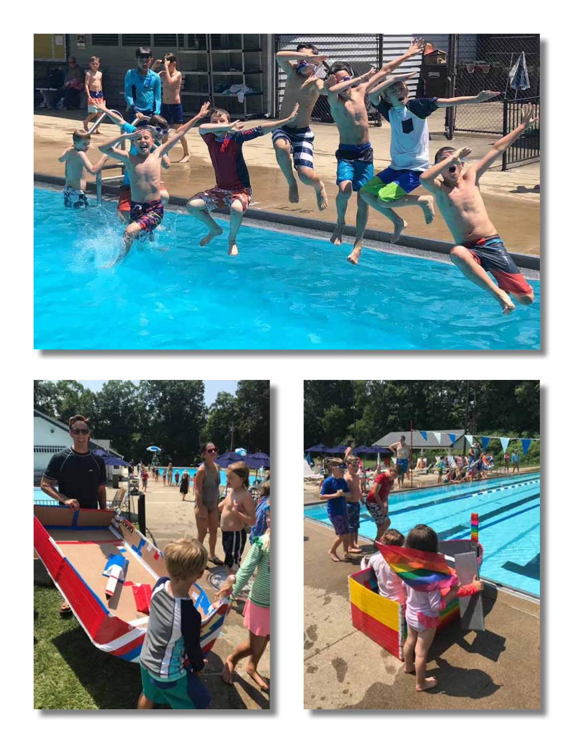



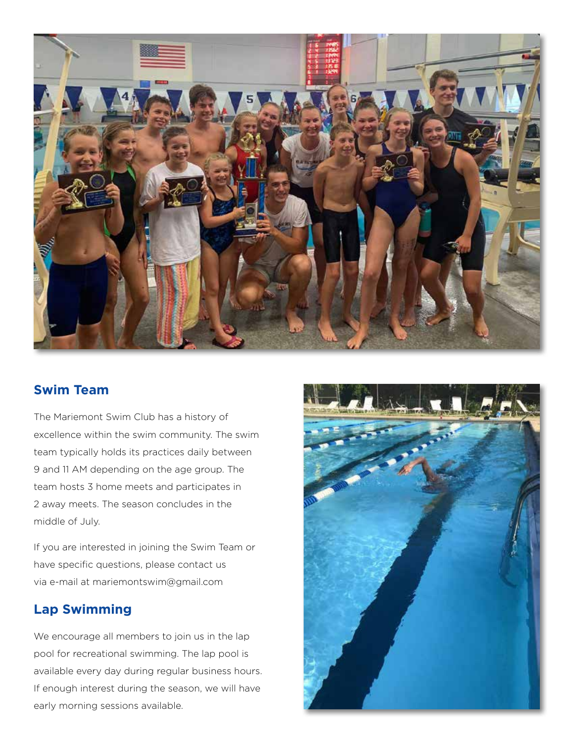

#### **Swim Team**

The Mariemont Swim Club has a history of excellence within the swim community. The swim team typically holds its practices daily between 9 and 11 AM depending on the age group. The team hosts 3 home meets and participates in 2 away meets. The season concludes in the middle of July.

If you are interested in joining the Swim Team or have specific questions, please contact us via e-mail at mariemontswim@gmail.com

#### **Lap Swimming**

We encourage all members to join us in the lap pool for recreational swimming. The lap pool is available every day during regular business hours. If enough interest during the season, we will have early morning sessions available.

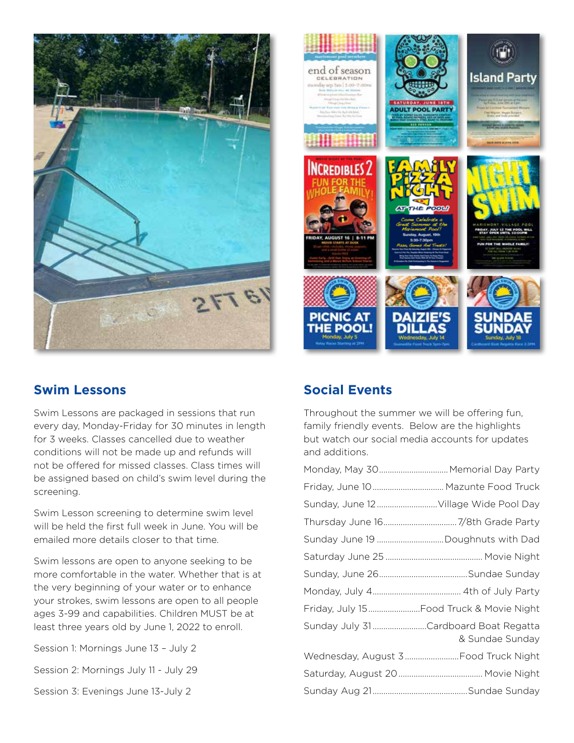



#### **Swim Lessons**

Swim Lessons are packaged in sessions that run every day, Monday-Friday for 30 minutes in length for 3 weeks. Classes cancelled due to weather conditions will not be made up and refunds will not be offered for missed classes. Class times will be assigned based on child's swim level during the screening.

Swim Lesson screening to determine swim level will be held the first full week in June. You will be emailed more details closer to that time.

Swim lessons are open to anyone seeking to be more comfortable in the water. Whether that is at the very beginning of your water or to enhance your strokes, swim lessons are open to all people ages 3-99 and capabilities. Children MUST be at least three years old by June 1, 2022 to enroll.

Session 1: Mornings June 13 – July 2

Session 2: Mornings July 11 - July 29

Session 3: Evenings June 13-July 2

#### **Social Events**

Throughout the summer we will be offering fun, family friendly events. Below are the highlights but watch our social media accounts for updates and additions.

| Monday, May 30 Memorial Day Party                       |
|---------------------------------------------------------|
| Friday, June 10 Mazunte Food Truck                      |
| Sunday, June 12 Village Wide Pool Day                   |
|                                                         |
| Sunday June 19 Doughnuts with Dad                       |
|                                                         |
|                                                         |
|                                                         |
| Friday, July 15 Food Truck & Movie Night                |
| Sunday July 31Cardboard Boat Regatta<br>& Sundae Sunday |
| Wednesday, August 3 Food Truck Night                    |
|                                                         |
|                                                         |